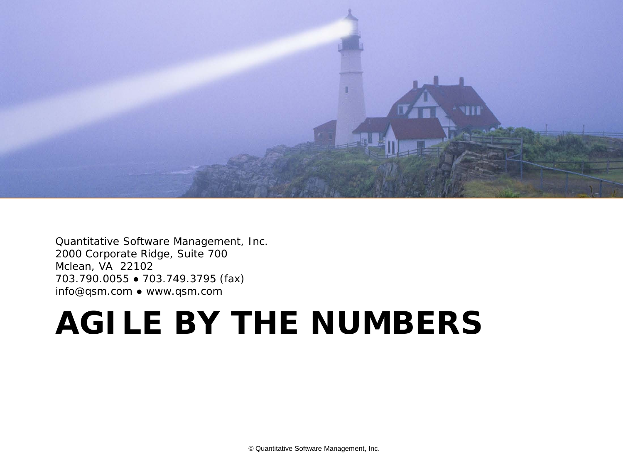

Quantitative Software Management, Inc. 2000 Corporate Ridge, Suite 700 Mclean, VA 22102 703.790.0055 ● 703.749.3795 (fax) info@qsm.com ● www.qsm.com

# **AGILE BY THE NUMBERS**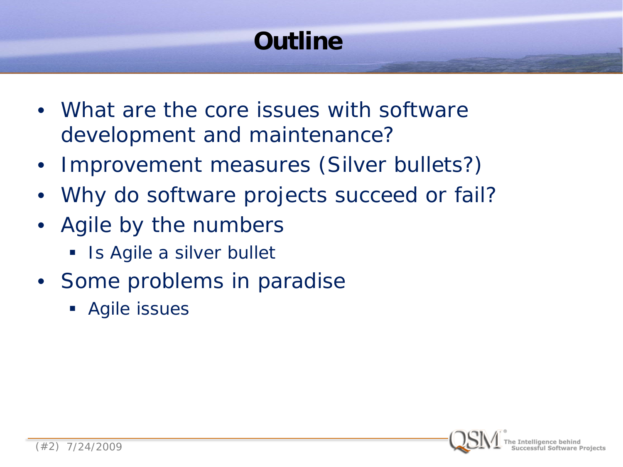# **Outline**

- What are the core issues with software development and maintenance?
- Improvement measures (Silver bullets?)
- Why do software projects succeed or fail?
- Agile by the numbers
	- Is Agile a silver bullet
- Some problems in paradise
	- **Agile issues**

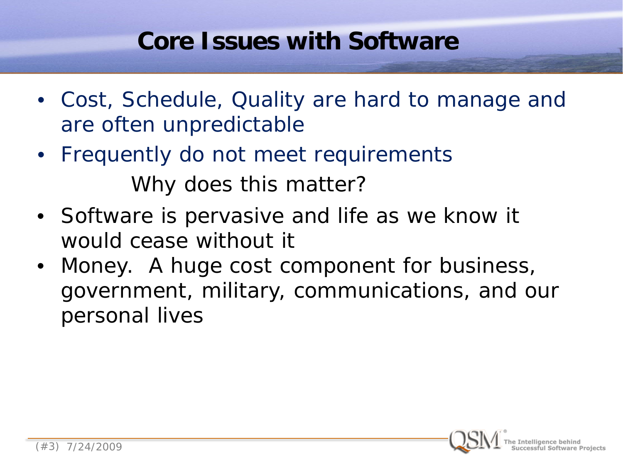#### **Core Issues with Software**

- Cost, Schedule, Quality are hard to manage and are often unpredictable
- Frequently do not meet requirements Why does this matter?
- Software is pervasive and life as we know it would cease without it
- Money. A huge cost component for business, government, military, communications, and our personal lives

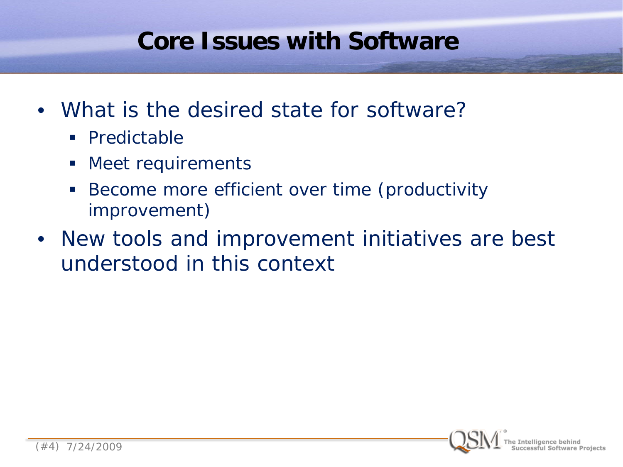#### **Core Issues with Software**

- What is the desired state for software?
	- **Predictable**
	- **Meet requirements**
	- **Become more efficient over time (productivity** improvement)
- New tools and improvement initiatives are best understood in this context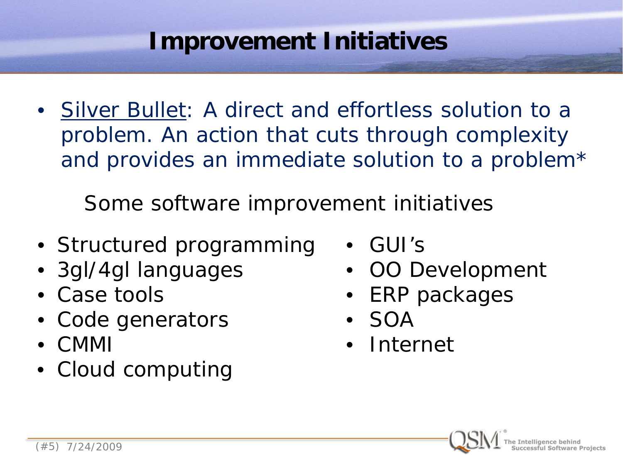• Silver Bullet: A direct and effortless solution to a problem. An action that cuts through complexity and provides an immediate solution to a problem\*

Some software improvement initiatives

- Structured programming
- 3gl/4gl languages
- Case tools
- Code generators
- CMMI
- Cloud computing
- GUI's
- OO Development
- ERP packages
- SOA
- **Internet**

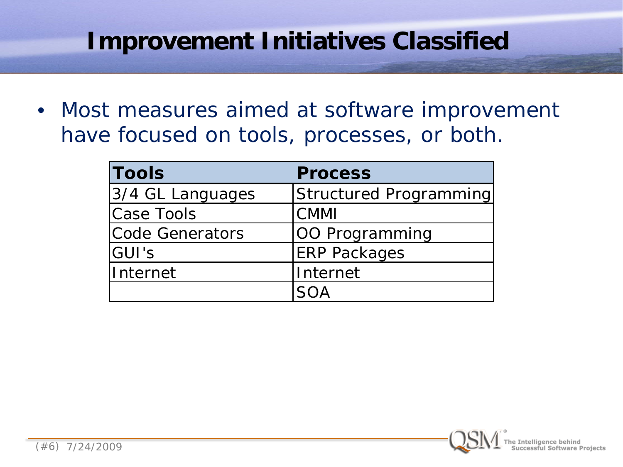#### **Improvement Initiatives Classified**

• Most measures aimed at software improvement have focused on tools, processes, or both.

| <b>Tools</b>     | <b>Process</b>         |  |  |  |  |
|------------------|------------------------|--|--|--|--|
| 3/4 GL Languages | Structured Programming |  |  |  |  |
| Case Tools       | <b>CMMI</b>            |  |  |  |  |
| Code Generators  | OO Programming         |  |  |  |  |
| GUI's            | <b>ERP Packages</b>    |  |  |  |  |
| lInternet        | Internet               |  |  |  |  |
|                  |                        |  |  |  |  |

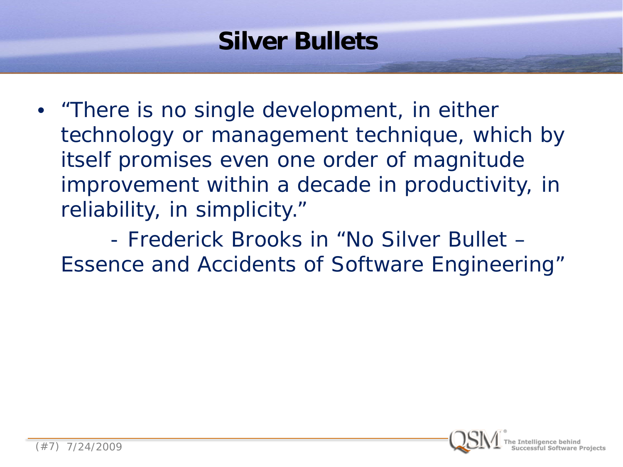# **Silver Bullets**

• "There is no single development, in either technology or management technique, which by itself promises even one order of magnitude improvement within a decade in productivity, in reliability, in simplicity."

 - Frederick Brooks in "No Silver Bullet – Essence and Accidents of Software Engineering"

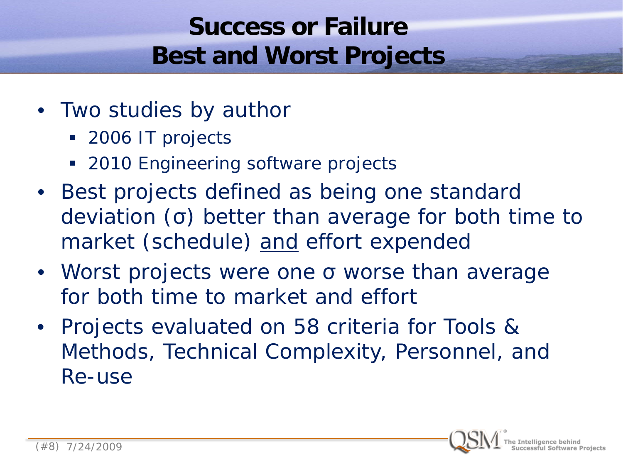# **Success or Failure Best and Worst Projects**

- Two studies by author
	- **2006 IT projects**
	- **2010 Engineering software projects**
- Best projects defined as being one standard deviation (σ) better than average for both time to market (schedule) and effort expended
- Worst projects were one σ worse than average for both time to market and effort
- Projects evaluated on 58 criteria for Tools & Methods, Technical Complexity, Personnel, and Re-use

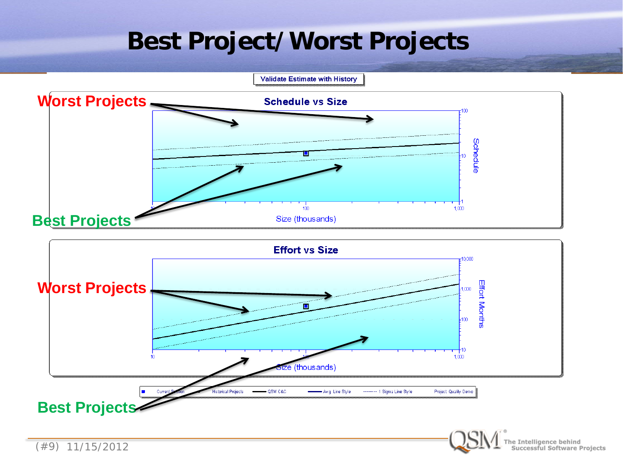#### **Best Project/Worst Projects**

**Validate Estimate with History** 





e Intelligence behind<br>Successful Software Projects

(#9) 11/15/2012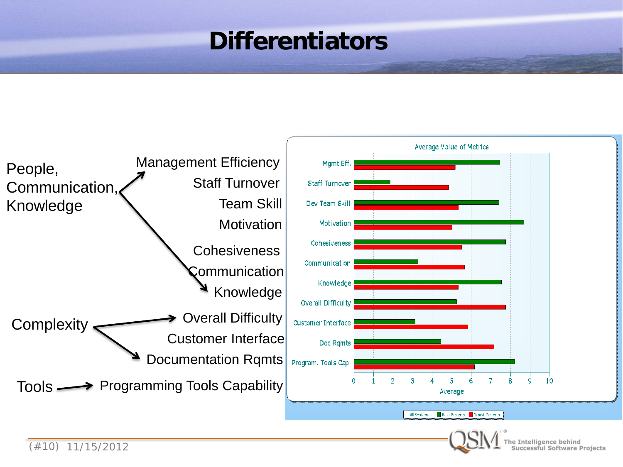#### **Differentiators**



Intelligence behind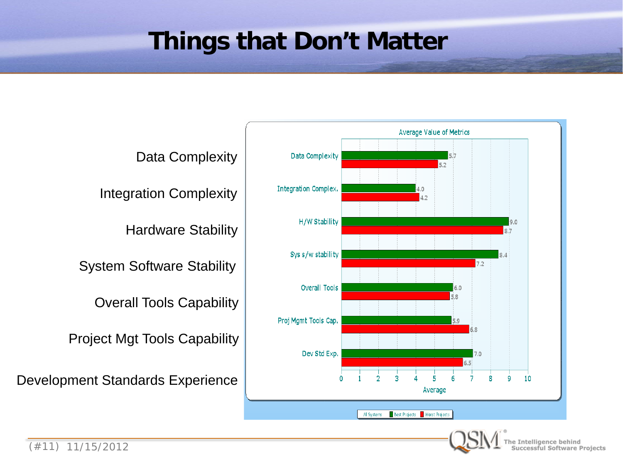#### **Things that Don't Matter**

Data Complexity

Integration Complexity

Hardware Stability

System Software Stability

Overall Tools Capability

Project Mgt Tools Capability

Development Standards Experience

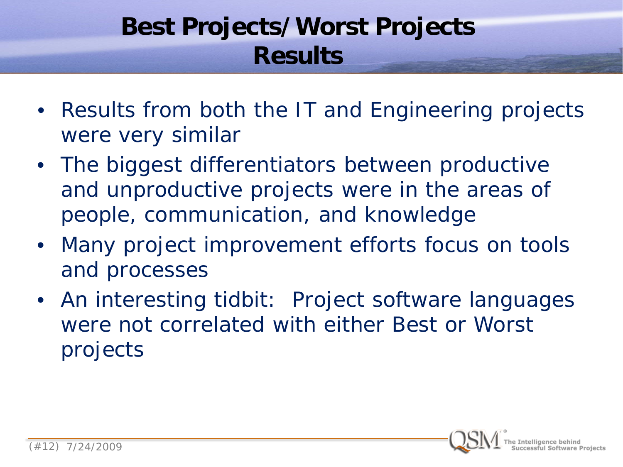# **Best Projects/Worst Projects Results**

- Results from both the IT and Engineering projects were very similar
- The biggest differentiators between productive and unproductive projects were in the areas of people, communication, and knowledge
- Many project improvement efforts focus on tools and processes
- An interesting tidbit: Project software languages were not correlated with either Best or Worst projects

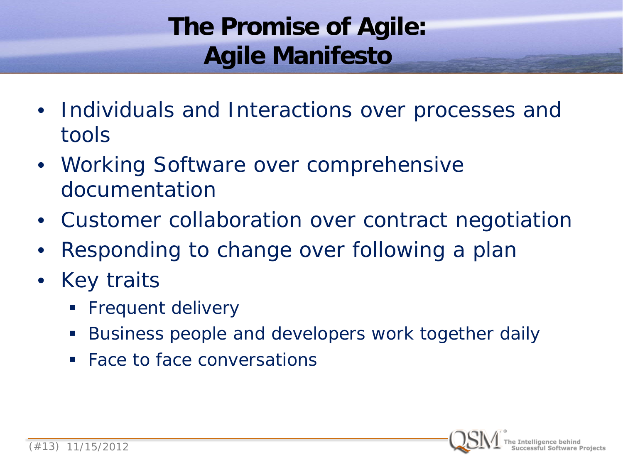# **The Promise of Agile: Agile Manifesto**

- Individuals and Interactions over processes and tools
- Working Software over comprehensive documentation
- Customer collaboration over contract negotiation
- Responding to change over following a plan
- **Key traits** 
	- Frequent delivery
	- Business people and developers work together daily
	- Face to face conversations

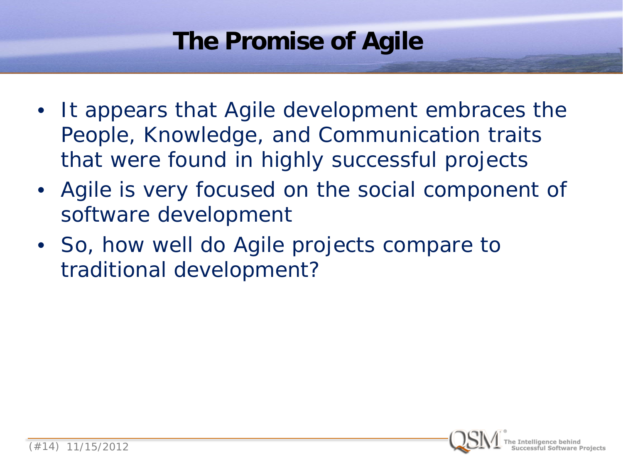# **The Promise of Agile**

- It appears that Agile development embraces the People, Knowledge, and Communication traits that were found in highly successful projects
- Agile is very focused on the social component of software development
- So, how well do Agile projects compare to traditional development?

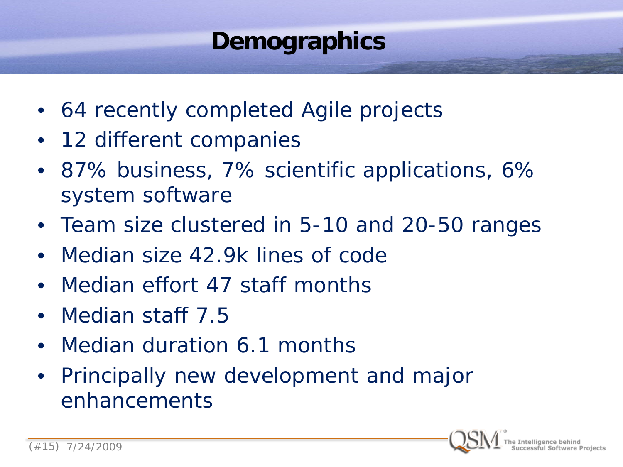# **Demographics**

- 64 recently completed Agile projects
- 12 different companies
- 87% business, 7% scientific applications, 6% system software
- Team size clustered in 5-10 and 20-50 ranges
- Median size 42.9k lines of code
- Median effort 47 staff months
- Median staff 7.5
- Median duration 6.1 months
- Principally new development and major enhancements

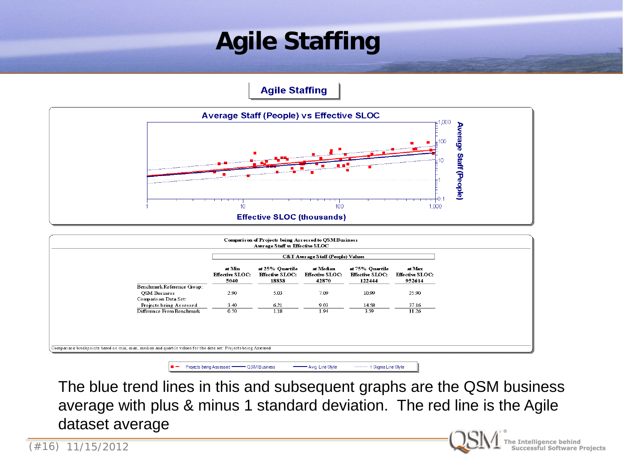# **Agile Staffing**

**Agile Staffing** 



|                                                                            |                                          | <b>C&amp;T Average Staff (People) Values</b>       |                                              |                                                     |                                            |  |
|----------------------------------------------------------------------------|------------------------------------------|----------------------------------------------------|----------------------------------------------|-----------------------------------------------------|--------------------------------------------|--|
|                                                                            | at Min<br><b>Effective SLOC:</b><br>5040 | at 25% Quartile<br><b>Effective SLOC:</b><br>18838 | at Median<br><b>Effective SLOC:</b><br>42870 | at 75% Quartile<br><b>Effective SLOC:</b><br>122444 | at Max<br><b>Effective SLOC:</b><br>952614 |  |
| Benchmark Reference Group:<br><b>QSM</b> Business<br>Companis on Data Set: | 2.90                                     | 5.03                                               | 7.09                                         | 10.99                                               | 25.90                                      |  |
| Projects being Assessed<br>Difference From Benchmark                       | 3.40<br>0.50                             | 6.21<br>1.18                                       | 9.03<br>1.94                                 | 14.58<br>3.59                                       | 37.16<br>11.26                             |  |
|                                                                            |                                          |                                                    |                                              |                                                     |                                            |  |
|                                                                            |                                          |                                                    |                                              |                                                     |                                            |  |

- Projects being Assessed - QSM Business

The blue trend lines in this and subsequent graphs are the QSM business average with plus & minus 1 standard deviation. The red line is the Agile dataset average

Avg. Line Style

-------- 1 Sigma Line Style

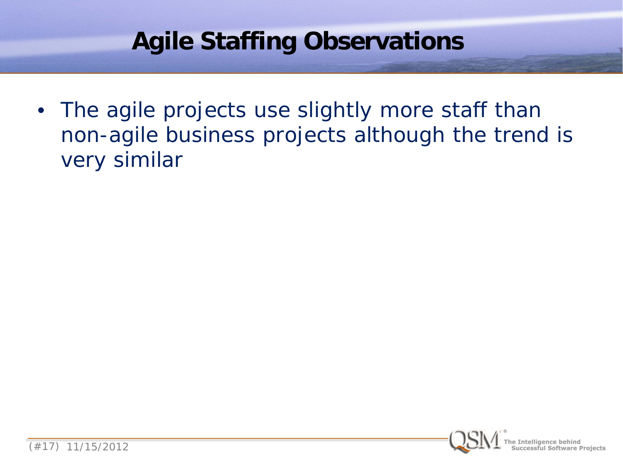# **Agile Staffing Observations**

• The agile projects use slightly more staff than non-agile business projects although the trend is very similar

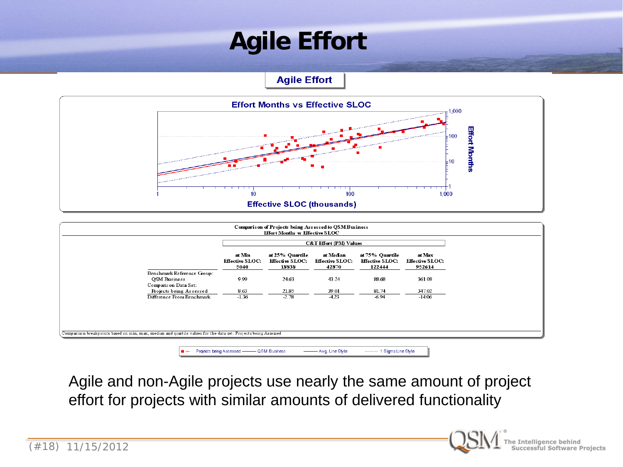# **Agile Effort**

**Agile Effort** 



|                                                                                                                |                                          | <b>C&amp;T Effort (PM) Values</b>                  |                                              |                                                     |                                            |  |
|----------------------------------------------------------------------------------------------------------------|------------------------------------------|----------------------------------------------------|----------------------------------------------|-----------------------------------------------------|--------------------------------------------|--|
|                                                                                                                | at Min<br><b>Effective SLOC:</b><br>5040 | at 25% Quartile<br><b>Effective SLOC:</b><br>18838 | at Median<br><b>Effective SLOC:</b><br>42870 | at 75% Quartile<br><b>Effective SLOC:</b><br>122444 | at Max<br><b>Effective SLOC:</b><br>952614 |  |
| Benchmark Reference Group:<br>OSM Business<br>Compans on Data Set:                                             | 9.99                                     | 24.63                                              | 43.24                                        | 88.68                                               | 361.08                                     |  |
| Projects being Assessed                                                                                        | 8.63                                     | 21.85                                              | 39.01                                        | 81.74                                               | 347.02                                     |  |
| Difference From Benchmark                                                                                      | $-1.36$                                  | $-2.78$                                            | $-4.23$                                      | $-6.94$                                             | $-14.06$                                   |  |
|                                                                                                                |                                          |                                                    |                                              |                                                     |                                            |  |
| Comparison breakpoints based on min, max, median and quartile values for the data set: Projects being Assessed |                                          |                                                    |                                              |                                                     |                                            |  |

Agile and non-Agile projects use nearly the same amount of project effort for projects with similar amounts of delivered functionality



ie Intelligence behind<br>Successful Software Projects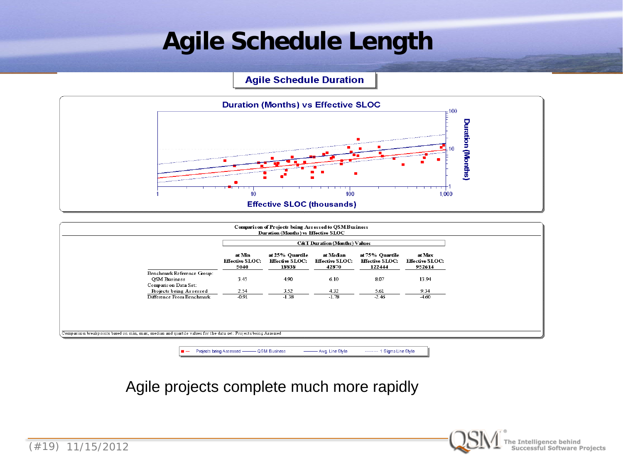# **Agile Schedule Length**

**Agile Schedule Duration** 



|                                                                                                                | <b>C&amp;T Duration (Months) Values</b>  |                                                    |                                              |                                                     |                                            |
|----------------------------------------------------------------------------------------------------------------|------------------------------------------|----------------------------------------------------|----------------------------------------------|-----------------------------------------------------|--------------------------------------------|
|                                                                                                                | at Min<br><b>Effective SLOC:</b><br>5040 | at 25% Quartile<br><b>Effective SLOC:</b><br>18838 | at Median<br><b>Effective SLOC:</b><br>42870 | at 75% Quartile<br><b>Effective SLOC:</b><br>122444 | at Max<br><b>Effective SLOC:</b><br>952614 |
| Benchmark Reference Group:<br><b>OSM</b> Business                                                              | 3.45                                     | 4.90                                               | 6.10                                         | 8.07                                                | 13.94                                      |
| Compans on Data Set:<br>Projects being Assessed                                                                | 2.54                                     | 3.52                                               | 4.32                                         | 5.61                                                | 9.34                                       |
| Difference From Benchmark                                                                                      | $-0.91$                                  | $-1.38$                                            | $-1.78$                                      | $-2.46$                                             | $-4.60$                                    |
| Comparison breakpoints based on min, max, median and quartile values for the data set: Projects being Assessed |                                          |                                                    |                                              |                                                     |                                            |

Agile projects complete much more rapidly

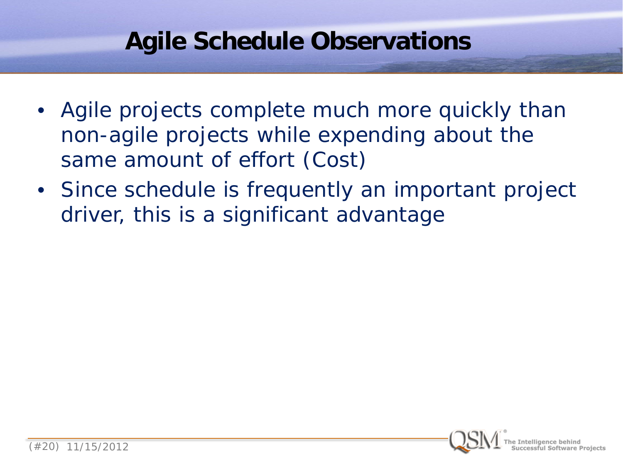#### **Agile Schedule Observations**

- Agile projects complete much more quickly than non-agile projects while expending about the same amount of effort (Cost)
- Since schedule is frequently an important project driver, this is a significant advantage

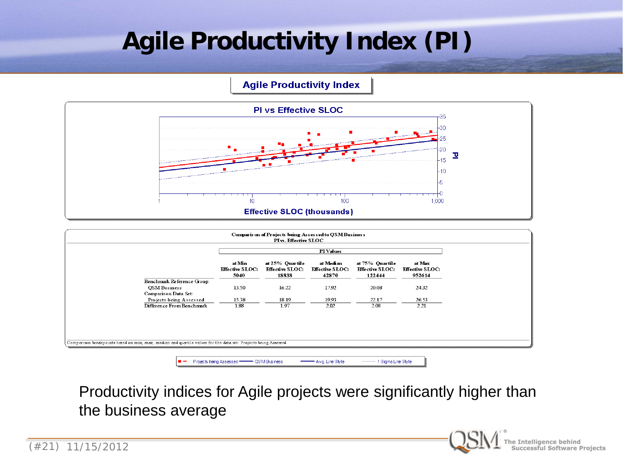# **Agile Productivity Index (PI)**

#### **Agile Productivity Index**



|                                                                                                                |                                          |                                                    | <b>PI</b> Values                             |                                                     |                                            |
|----------------------------------------------------------------------------------------------------------------|------------------------------------------|----------------------------------------------------|----------------------------------------------|-----------------------------------------------------|--------------------------------------------|
|                                                                                                                | at Min<br><b>Effective SLOC:</b><br>5040 | at 25% Quartile<br><b>Effective SLOC:</b><br>18838 | at Median<br><b>Effective SLOC:</b><br>42870 | at 75% Quartile<br><b>Effective SLOC:</b><br>122444 | at Max<br><b>Effective SLOC:</b><br>952614 |
| Benchmark Reference Group:                                                                                     |                                          |                                                    |                                              |                                                     |                                            |
| <b>QSM</b> Business<br>Comparison Data Set:                                                                    | 13.50                                    | 16.22                                              | 17.92                                        | 20.08                                               | 24.32                                      |
| Projects being Assessed                                                                                        | 15.38                                    | 18.19                                              | 19.93                                        | 22.17                                               | 26.53                                      |
| Difference From Benchmark                                                                                      | 1.88                                     | 1.97                                               | 2.02                                         | 2.08                                                | 2.21                                       |
| Comparison breakpoints based on min, max, median and quartile values for the data set: Projects being Assessed |                                          |                                                    |                                              |                                                     |                                            |

Productivity indices for Agile projects were significantly higher than the business average

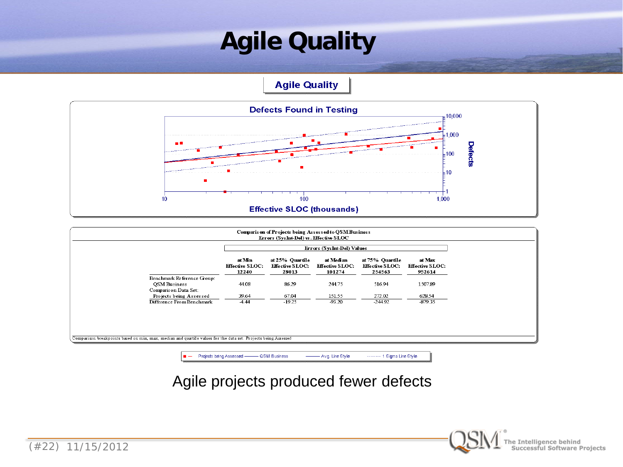# **Agile Quality**

**Agile Quality** 



|                                                 | Errors (SysInt-Del) Values                |                                                    |                                               |                                                     |                                            |
|-------------------------------------------------|-------------------------------------------|----------------------------------------------------|-----------------------------------------------|-----------------------------------------------------|--------------------------------------------|
|                                                 | at Min<br><b>Effective SLOC:</b><br>12240 | at 25% Quartile<br><b>Effective SLOC:</b><br>28013 | at Median<br><b>Effective SLOC:</b><br>101274 | at 75% Quartile<br><b>Effective SLOC:</b><br>254563 | at Max<br><b>Effective SLOC:</b><br>952614 |
| Benchmark Reference Group:                      |                                           |                                                    |                                               |                                                     |                                            |
| <b>OSM Business</b>                             | 44.08                                     | 86.29                                              | 244.75                                        | 516.94                                              | 1507.89                                    |
| Comparison Data Set:<br>Projects being Assessed | 39.64                                     | 67.04                                              | 151.55                                        | 272.02                                              | 628.54                                     |
| Difference From Benchmark                       | $-4.44$                                   | $-19.25$                                           | $-93.20$                                      | $-244.92$                                           | $-879.35$                                  |
|                                                 |                                           |                                                    |                                               |                                                     |                                            |
|                                                 |                                           |                                                    |                                               |                                                     |                                            |
|                                                 |                                           |                                                    |                                               |                                                     |                                            |

Projects being Assessed - QSM Business Avg. Line Style ------- 1 Sigma Line Style

Agile projects produced fewer defects

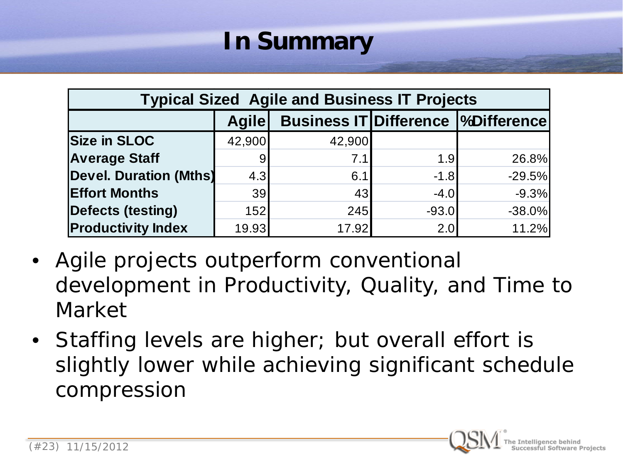# **In Summary**

| <b>Typical Sized Agile and Business IT Projects</b> |              |        |         |                                            |  |  |  |  |  |
|-----------------------------------------------------|--------------|--------|---------|--------------------------------------------|--|--|--|--|--|
|                                                     | <b>Agile</b> |        |         | <b>Business IT Difference  %Difference</b> |  |  |  |  |  |
| <b>Size in SLOC</b>                                 | 42,900       | 42,900 |         |                                            |  |  |  |  |  |
| <b>Average Staff</b>                                | 9            | 7.1    | 1.9     | 26.8%                                      |  |  |  |  |  |
| <b>Devel. Duration (Mths)</b>                       | 4.3          | 6.1    | $-1.8$  | $-29.5%$                                   |  |  |  |  |  |
| <b>Effort Months</b>                                | 39           | 43     | $-4.0$  | $-9.3%$                                    |  |  |  |  |  |
| Defects (testing)                                   | 152          | 245    | $-93.0$ | $-38.0%$                                   |  |  |  |  |  |
| <b>Productivity Index</b>                           | 19.93        | 17.92  | 2.0     | 11.2%                                      |  |  |  |  |  |

- Agile projects outperform conventional development in Productivity, Quality, and Time to Market
- Staffing levels are higher; but overall effort is slightly lower while achieving significant schedule compression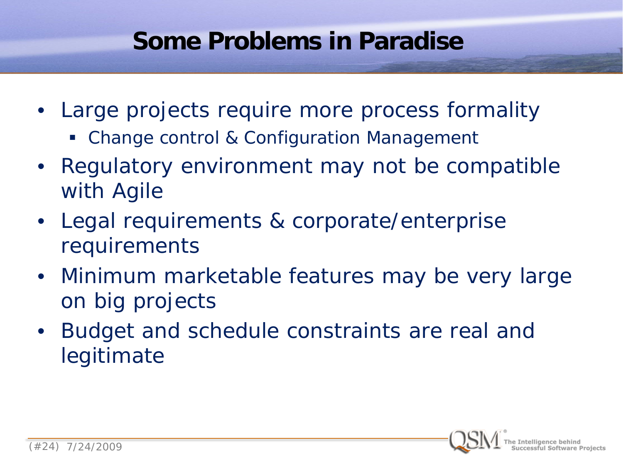#### **Some Problems in Paradise**

- Large projects require more process formality
	- Change control & Configuration Management
- Regulatory environment may not be compatible with Agile
- Legal requirements & corporate/enterprise requirements
- Minimum marketable features may be very large on big projects
- Budget and schedule constraints are real and legitimate

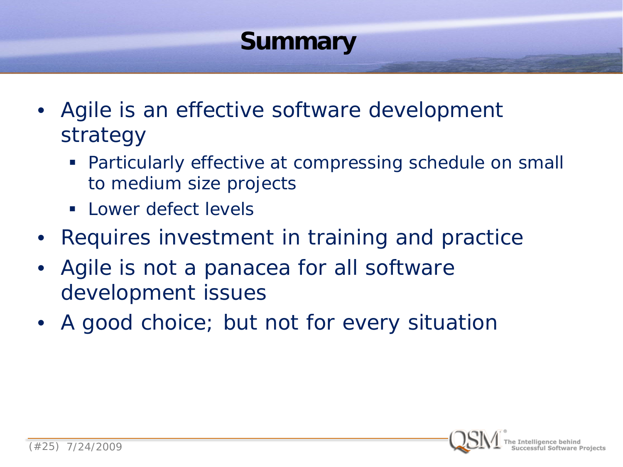# **Summary**

- Agile is an effective software development strategy
	- Particularly effective at compressing schedule on small to medium size projects
	- **Lower defect levels**
- Requires investment in training and practice
- Agile is not a panacea for all software development issues
- A good choice; but not for every situation

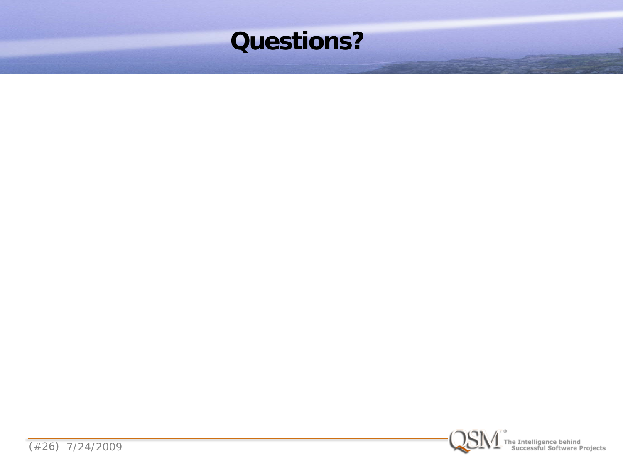



(#26) 7/24/2009